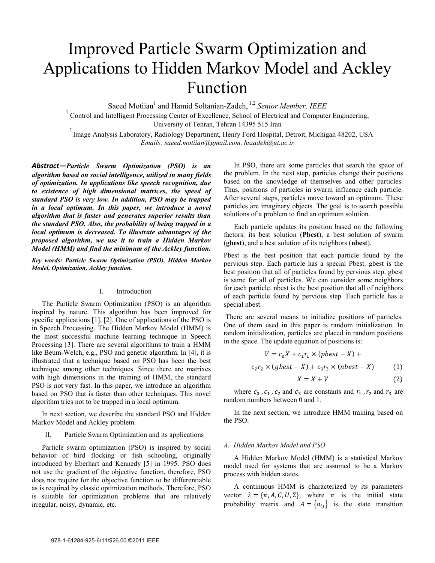# Improved Particle Swarm Optimization and Applications to Hidden Markov Model and Ackley Function

Saeed Motiian<sup>1</sup> and Hamid Soltanian-Zadeh, <sup>1,2</sup> Senior Member, IEEE

<sup>1</sup> Control and Intelligent Processing Center of Excellence, School of Electrical and Computer Engineering, University of Tehran, Tehran 14395 515 Iran  $\frac{2}{3}$ 

Image Analysis Laboratory, Radiology Department, Henry Ford Hospital, Detroit, Michigan 48202, USA *Emails: saeed.motiian@gmail.com, hszadeh@ut.ac.ir* 

*Abstract***—***Particle Swarm Optimization (PSO) is an algorithm based on social intelligence, utilized in many fields of optimization. In applications like speech recognition, due to existence of high dimensional matrices, the speed of standard PSO is very low. In addition, PSO may be trapped in a local optimum. In this paper, we introduce a novel algorithm that is faster and generates superior results than the standard PSO. Also, the probability of being trapped in a local optimum is decreased. To illustrate advantages of the proposed algorithm, we use it to train a Hidden Markov Model (HMM) and find the minimum of the Ackley function.* 

*Key words: Particle Swarm Optimization (PSO), Hidden Markov Model, Optimization, Ackley function.* 

## I. Introduction

 The Particle Swarm Optimization (PSO) is an algorithm inspired by nature. This algorithm has been improved for specific applications [1], [2]. One of applications of the PSO is in Speech Processing. The Hidden Markov Model (HMM) is the most successful machine learning technique in Speech Processing [3]. There are several algorithms to train a HMM like Beum-Welch, e.g., PSO and genetic algorithm. In [4], it is illustrated that a technique based on PSO has been the best technique among other techniques. Since there are matrixes with high dimensions in the training of HMM, the standard PSO is not very fast. In this paper, we introduce an algorithm based on PSO that is faster than other techniques. This novel algorithm tries not to be trapped in a local optimum.

 In next section, we describe the standard PSO and Hidden Markov Model and Ackley problem.

#### II. Particle Swarm Optimization and its applications

 Particle swarm optimization (PSO) is inspired by social behavior of bird flocking or fish schooling, originally introduced by Eberhart and Kennedy [5] in 1995. PSO does not use the gradient of the objective function, therefore, PSO does not require for the objective function to be differentiable as is required by classic optimization methods. Therefore, PSO is suitable for optimization problems that are relatively irregular, noisy, dynamic, etc.

 In PSO, there are some particles that search the space of the problem. In the next step, particles change their positions based on the knowledge of themselves and other particles. Thus, positions of particles in swarm influence each particle. After several steps, particles move toward an optimum. These particles are imaginary objects. The goal is to search possible solutions of a problem to find an optimum solution.

 Each particle updates its position based on the following factors: its best solution (**Pbest**), a best solution of swarm (**gbest**), and a best solution of its neighbors (**nbest**).

Pbest is the best position that each particle found by the pervious step. Each particle has a special Pbest. gbest is the best position that all of particles found by pervious step. gbest is same for all of particles. We can consider some neighbors for each particle. nbest is the best position that all of neighbors of each particle found by pervious step. Each particle has a special nbest.

 There are several means to initialize positions of particles. One of them used in this paper is random initialization. In random initialization, particles are placed in random positions in the space. The update equation of positions is:

$$
V = c_0 X + c_1 r_1 \times (pbest - X) +
$$
  

$$
c_2 r_2 \times (gbest - X) + c_3 r_3 \times (nbest - X)
$$
 (1)  

$$
V = V + V
$$
 (2)

 $X = X + V$  (2)

where  $c_0$ ,  $c_1$ ,  $c_2$  and  $c_3$  are constants and  $r_1$ ,  $r_2$  and  $r_3$  are random numbers between 0 and 1.

 In the next section, we introduce HMM training based on the PSO.

#### *A. Hidden Markov Model and PSO*

 A Hidden Markov Model (HMM) is a statistical Markov model used for systems that are assumed to be a Markov process with hidden states.

 A continuous HMM is characterized by its parameters vector  $\lambda = {\pi, A, C, U, \Sigma}$ , where  $\pi$  is the initial state probability matrix and  $A = \{a_{ij}\}\$ is the state transition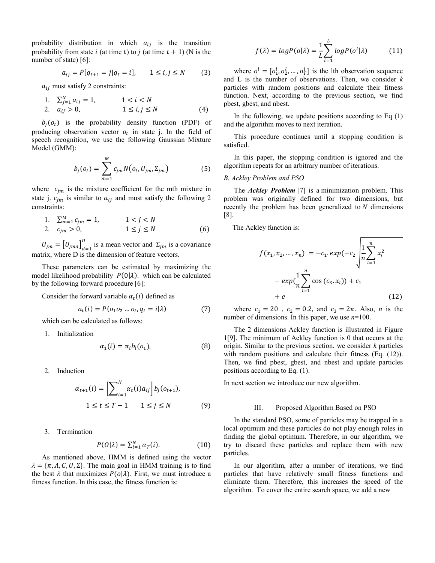probability distribution in which  $a_{ij}$  is the transition probability from state *i* (at time *t*) to *j* (at time  $t + 1$ ) (N is the number of state) [6]:

$$
a_{ij} = P[q_{t+1} = j | q_t = i], \qquad 1 \le i, j \le N \tag{3}
$$

 $a_{ij}$  must satisfy 2 constraints:

1. 
$$
\sum_{j=1}^{N} a_{ij} = 1
$$
,  $1 < i < N$   
2.  $a_{ij} > 0$ ,  $1 \le i, j \le N$  (4)

 $b_i(o_t)$  is the probability density function (PDF) of producing observation vector  $o_t$  in state j. In the field of speech recognition, we use the following Gaussian Mixture Model (GMM):

$$
b_j(o_t) = \sum_{m=1}^{M} c_{jm} N(o_t, U_{jm}, \Sigma_{jm})
$$
 (5)

where  $c_{jm}$  is the mixture coefficient for the mth mixture in state j.  $c_{jm}$  is similar to  $a_{ij}$  and must satisfy the following 2 constraints:

1. 
$$
\sum_{m=1}^{M} c_{jm} = 1,
$$
  $1 < j < N$   
2.  $c_{jm} > 0,$   $1 \le j \le N$  (6)

 $U_{jm} = [U_{jmd}]_{d=1}^{D}$  is a mean vector and  $\Sigma_{jm}$  is a covariance matrix, where D is the dimension of feature vectors.

 These parameters can be estimated by maximizing the model likelihood probability  $P(0|\lambda)$ . which can be calculated by the following forward procedure [6]:

Consider the forward variable  $\alpha_t(i)$  defined as

$$
a_t(i) = P(o_1 o_2 ... o_t, q_t = i | \lambda)
$$
 (7)

which can be calculated as follows:

1. Initialization

$$
\alpha_1(i) = \pi_i b_i(o_1),\tag{8}
$$

2. Induction

$$
\alpha_{t+1}(i) = \left[ \sum_{i=1}^{N} \alpha_t(i) a_{ij} \right] b_j(o_{t+1}),
$$
  
 
$$
1 \le t \le T - 1 \qquad 1 \le j \le N \tag{9}
$$

3. Termination

$$
P(O|\lambda) = \sum_{i=1}^{N} \alpha_{T}(i). \qquad (10)
$$

 As mentioned above, HMM is defined using the vector  $\lambda = \{\pi, A, C, U, \Sigma\}$ . The main goal in HMM training is to find the best  $\lambda$  that maximizes  $P(\theta|\lambda)$ . First, we must introduce a fitness function. In this case, the fitness function is:

$$
f(\lambda) = log P(o|\lambda) = \frac{1}{L} \sum_{l=1}^{L} log P(o^l|\lambda)
$$
 (11)

where  $o^l = [o_1^l, o_2^l, ..., o_T^l]$  is the lth observation sequence and L is the number of observations. Then, we consider *k* particles with random positions and calculate their fitness function. Next, according to the previous section, we find pbest, gbest, and nbest.

In the following, we update positions according to Eq  $(1)$ and the algorithm moves to next iteration.

 This procedure continues until a stopping condition is satisfied.

 In this paper, the stopping condition is ignored and the algorithm repeats for an arbitrary number of iterations.

#### *B. Ackley Problem and PSO*

 The *Ackley Problem* [7] is a minimization problem. This problem was originally defined for two dimensions, but recently the problem has been generalized to *N* dimensions [8].

The Ackley function is:

$$
f(x_1, x_2, ..., x_n) = -c_1 \cdot exp(-c_2) \sqrt{\frac{1}{n} \sum_{i=1}^n x_i^2}
$$

$$
- exp(\frac{1}{n} \sum_{i=1}^n cos(c_3, x_i)) + c_1
$$

$$
+ e
$$
(12)

where  $c_1 = 20$ ,  $c_2 = 0.2$ , and  $c_3 = 2\pi$ . Also, *n* is the number of dimensions. In this paper, we use *n*=100.

 The 2 dimensions Ackley function is illustrated in Figure 1[9]. The minimum of Ackley function is 0 that occurs at the origin. Similar to the previous section, we consider *k* particles with random positions and calculate their fitness (Eq. (12)). Then, we find pbest, gbest, and nbest and update particles positions according to Eq. (1).

In next section we introduce our new algorithm.

#### III. Proposed Algorithm Based on PSO

 In the standard PSO, some of particles may be trapped in a local optimum and these particles do not play enough roles in finding the global optimum. Therefore, in our algorithm, we try to discard these particles and replace them with new particles.

 In our algorithm, after a number of iterations, we find particles that have relatively small fitness functions and eliminate them. Therefore, this increases the speed of the algorithm. To cover the entire search space, we add a new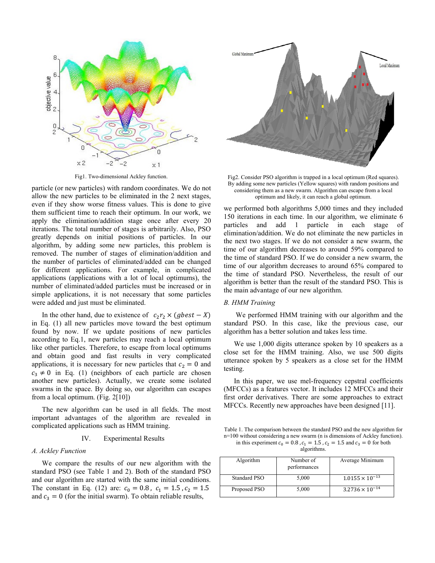

Fig1. Two-dimensional Ackley function.

particle (or new particles) with random coordinates. We do not allow the new particles to be eliminated in the 2 next stages, even if they show worse fitness values. This is done to give them sufficient time to reach their optimum. In our work, we apply the elimination/addition stage once after every 20 iterations. The total number of stages is arbitrarily. Also, PSO greatly depends on initial positions of particles. In our algorithm, by adding some new particles, this problem is removed. The number of stages of elimination/addition and the number of particles of eliminated/added can be changed for different applications. For example, in complicated applications (applications with a lot of local optimums), the number of eliminated/added particles must be increased or in simple applications, it is not necessary that some particles were added and just must be eliminated.

In the other hand, due to existence of  $c_2r_2 \times (gbest - X)$ in Eq. (1) all new particles move toward the best optimum found by now. If we update positions of new particles according to Eq.1, new particles may reach a local optimum like other particles. Therefore, to escape from local optimums and obtain good and fast results in very complicated applications, it is necessary for new particles that  $c_2 = 0$  and  $c_3 \neq 0$  in Eq. (1) (neighbors of each particle are chosen another new particles). Actually, we create some isolated swarms in the space. By doing so, our algorithm can escapes from a local optimum. (Fig. 2[10])

 The new algorithm can be used in all fields. The most important advantages of the algorithm are revealed in complicated applications such as HMM training.

#### IV. Experimental Results

#### *A. Ackley Function*

 We compare the results of our new algorithm with the standard PSO (see Table 1 and 2). Both of the standard PSO and our algorithm are started with the same initial conditions. The constant in Eq. (12) are:  $c_0 = 0.8$ ,  $c_1 = 1.5$ ,  $c_2 = 1.5$ and  $c_3 = 0$  (for the initial swarm). To obtain reliable results,



Fig2. Consider PSO algorithm is trapped in a local optimum (Red squares). By adding some new particles (Yellow squares) with random positions and considering them as a new swarm. Algorithm can escape from a local optimum and likely, it can reach a global optimum.

we performed both algorithms 5,000 times and they included 150 iterations in each time. In our algorithm, we eliminate 6 particles and add 1 particle in each stage of elimination/addition. We do not eliminate the new particles in the next two stages. If we do not consider a new swarm, the time of our algorithm decreases to around 59% compared to the time of standard PSO. If we do consider a new swarm, the time of our algorithm decreases to around 65% compared to the time of standard PSO. Nevertheless, the result of our algorithm is better than the result of the standard PSO. This is the main advantage of our new algorithm.

# *B. HMM Training*

 We performed HMM training with our algorithm and the standard PSO. In this case, like the previous case, our algorithm has a better solution and takes less time.

 We use 1,000 digits utterance spoken by 10 speakers as a close set for the HMM training. Also, we use 500 digits utterance spoken by 5 speakers as a close set for the HMM testing.

 In this paper, we use mel-frequency cepstral coefficients (MFCCs) as a features vector. It includes 12 MFCCs and their first order derivatives. There are some approaches to extract MFCCs. Recently new approaches have been designed [11].

| Table 1. The comparison between the standard PSO and the new algorithm for        |
|-----------------------------------------------------------------------------------|
| $n=100$ without considering a new swarm (n is dimensions of Ackley function).     |
| in this experiment $c_0 = 0.8$ , $c_1 = 1.5$ , $c_2 = 1.5$ and $c_3 = 0$ for both |

algorithms.

| Algorithm    | Number of<br>performances | Average Minimum          |
|--------------|---------------------------|--------------------------|
| Standard PSO | 5,000                     | $1.0155 \times 10^{-13}$ |
| Proposed PSO | 5,000                     | $3.2736 \times 10^{-14}$ |